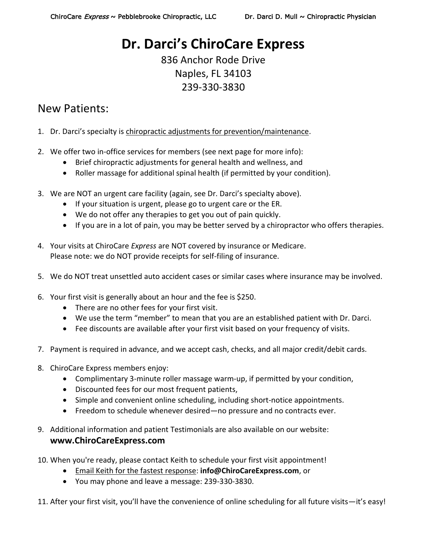## **Dr. Darci's ChiroCare Express**

836 Anchor Rode Drive Naples, FL 34103 239-330-3830

### New Patients:

- 1. Dr. Darci's specialty is chiropractic adjustments for prevention/maintenance.
- 2. We offer two in-office services for members (see next page for more info):
	- Brief chiropractic adjustments for general health and wellness, and
	- Roller massage for additional spinal health (if permitted by your condition).
- 3. We are NOT an urgent care facility (again, see Dr. Darci's specialty above).
	- If your situation is urgent, please go to urgent care or the ER.
	- We do not offer any therapies to get you out of pain quickly.
	- If you are in a lot of pain, you may be better served by a chiropractor who offers therapies.
- 4. Your visits at ChiroCare *Express* are NOT covered by insurance or Medicare. Please note: we do NOT provide receipts for self-filing of insurance.
- 5. We do NOT treat unsettled auto accident cases or similar cases where insurance may be involved.
- 6. Your first visit is generally about an hour and the fee is \$250.
	- There are no other fees for your first visit.
	- We use the term "member" to mean that you are an established patient with Dr. Darci.
	- Fee discounts are available after your first visit based on your frequency of visits.
- 7. Payment is required in advance, and we accept cash, checks, and all major credit/debit cards.
- 8. ChiroCare Express members enjoy:
	- Complimentary 3-minute roller massage warm-up, if permitted by your condition,
	- Discounted fees for our most frequent patients,
	- Simple and convenient online scheduling, including short-notice appointments.
	- Freedom to schedule whenever desired—no pressure and no contracts ever.
- 9. Additional information and patient Testimonials are also available on our website: **www.ChiroCareExpress.com**
- 10. When you're ready, please contact Keith to schedule your first visit appointment!
	- Email Keith for the fastest response: **info@ChiroCareExpress.com**, or
	- You may phone and leave a message: 239-330-3830.
- 11. After your first visit, you'll have the convenience of online scheduling for all future visits—it's easy!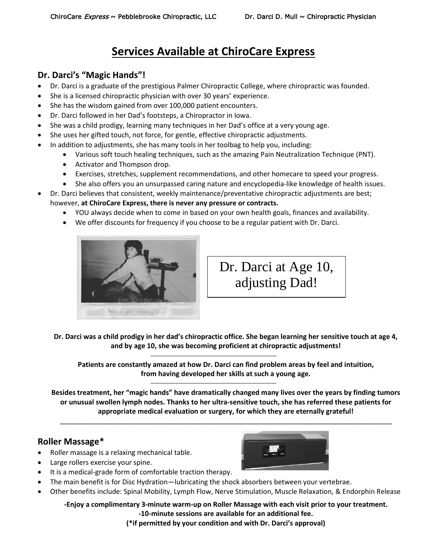## **Services Available at ChiroCare Express**

#### **Dr. Darci's "Magic Hands"!**

- Dr. Darci is a graduate of the prestigious Palmer Chiropractic College, where chiropractic was founded.
- She is a licensed chiropractic physician with over 30 years' experience.
- She has the wisdom gained from over 100,000 patient encounters.
- Dr. Darci followed in her Dad's footsteps, a Chiropractor in Iowa.
- She was a child prodigy, learning many techniques in her Dad's office at a very young age.
- She uses her gifted touch, not force, for gentle, effective chiropractic adjustments.
- In addition to adjustments, she has many tools in her toolbag to help you, including:
	- Various soft touch healing techniques, such as the amazing Pain Neutralization Technique (PNT).
	- Activator and Thompson drop.
	- Exercises, stretches, supplement recommendations, and other homecare to speed your progress.
	- She also offers you an unsurpassed caring nature and encyclopedia-like knowledge of health issues.
- Dr. Darci believes that consistent, weekly maintenance/preventative chiropractic adjustments are best; however, **at ChiroCare Express, there is never any pressure or contracts.**
	- YOU always decide when to come in based on your own health goals, finances and availability.
	- We offer discounts for frequency if you choose to be a regular patient with Dr. Darci.



# Dr. Darci at Age 10, adjusting Dad!

**Dr. Darci was a child prodigy in her dad's chiropractic office. She began learning her sensitive touch at age 4, and by age 10, she was becoming proficient at chiropractic adjustments!**

**Patients are constantly amazed at how Dr. Darci can find problem areas by feel and intuition, from having developed her skills at such a young age.** 

**Besides treatment, her "magic hands" have dramatically changed many lives over the years by finding tumors or unusual swollen lymph nodes. Thanks to her ultra-sensitive touch, she has referred these patients for appropriate medical evaluation or surgery, for which they are eternally grateful!**

\_\_\_\_\_\_\_\_\_\_\_\_\_\_\_\_\_\_\_\_\_\_\_\_\_\_\_\_\_\_\_\_\_\_\_\_\_\_\_\_\_\_\_\_\_\_\_\_\_\_\_\_\_\_\_\_\_\_\_\_\_\_\_\_\_\_\_\_\_\_\_\_\_\_\_\_\_\_\_\_\_\_\_\_\_\_\_

#### **Roller Massage\***

- Roller massage is a relaxing mechanical table.
- Large rollers exercise your spine.
- It is a medical-grade form of comfortable traction therapy.
- The main benefit is for Disc Hydration—lubricating the shock absorbers between your vertebrae.
- Other benefits include: Spinal Mobility, Lymph Flow, Nerve Stimulation, Muscle Relaxation, & Endorphin Release

**-Enjoy a complimentary 3-minute warm-up on Roller Massage with each visit prior to your treatment. -10-minute sessions are available for an additional fee.**

**(\*if permitted by your condition and with Dr. Darci's approval)**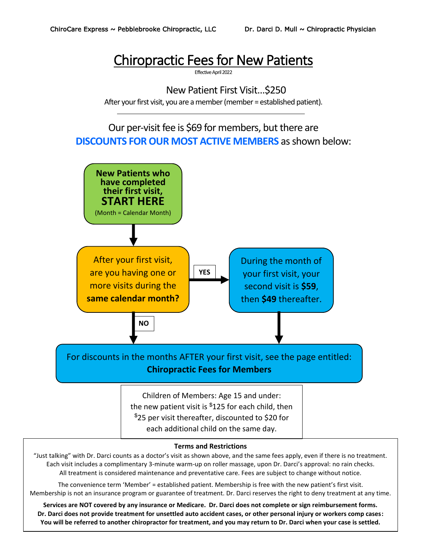## Chiropractic Fees for New Patients

Effective April 2022

New Patient First Visit…\$250 After your first visit, you are a member (member = established patient).

### Our per-visit fee is \$69 for members, but there are **DISCOUNTS FOR OUR MOST ACTIVE MEMBERS** as shown below:



Each visit includes a complimentary 3-minute warm-up on roller massage, upon Dr. Darci's approval: no rain checks. All treatment is considered maintenance and preventative care. Fees are subject to change without notice.

The convenience term 'Member' = established patient. Membership is free with the new patient's first visit. Membership is not an insurance program or guarantee of treatment. Dr. Darci reserves the right to deny treatment at any time.

**Services are NOT covered by any insurance or Medicare. Dr. Darci does not complete or sign reimbursement forms. Dr. Darci does not provide treatment for unsettled auto accident cases, or other personal injury or workers comp cases: You will be referred to another chiropractor for treatment, and you may return to Dr. Darci when your case is settled.**